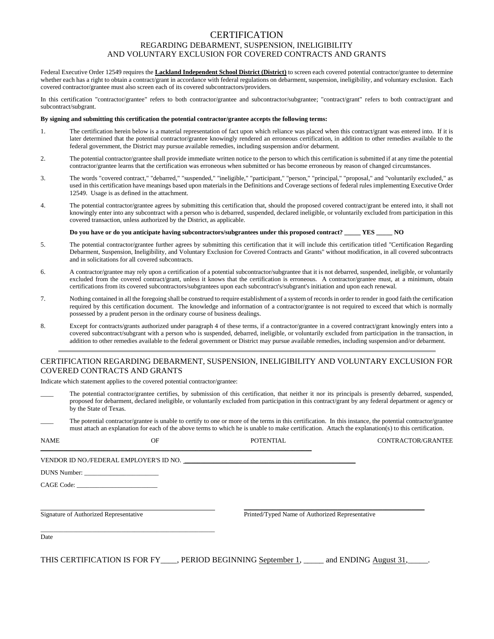# **CERTIFICATION** REGARDING DEBARMENT, SUSPENSION, INELIGIBILITY AND VOLUNTARY EXCLUSION FOR COVERED CONTRACTS AND GRANTS

Federal Executive Order 12549 requires the **Lackland Independent School District (District)** to screen each covered potential contractor/grantee to determine whether each has a right to obtain a contract/grant in accordance with federal regulations on debarment, suspension, ineligibility, and voluntary exclusion. Each covered contractor/grantee must also screen each of its covered subcontractors/providers.

In this certification "contractor/grantee" refers to both contractor/grantee and subcontractor/subgrantee; "contract/grant" refers to both contract/grant and subcontract/subgrant.

#### **By signing and submitting this certification the potential contractor/grantee accepts the following terms:**

- 1. The certification herein below is a material representation of fact upon which reliance was placed when this contract/grant was entered into. If it is later determined that the potential contractor/grantee knowingly rendered an erroneous certification, in addition to other remedies available to the federal government, the District may pursue available remedies, including suspension and/or debarment.
- 2. The potential contractor/grantee shall provide immediate written notice to the person to which this certification is submitted if at any time the potential contractor/grantee learns that the certification was erroneous when submitted or has become erroneous by reason of changed circumstances.
- 3. The words "covered contract," "debarred," "suspended," "ineligible," "participant," "person," "principal," "proposal," and "voluntarily excluded," as used in this certification have meanings based upon materials in the Definitions and Coverage sections of federal rules implementing Executive Order 12549. Usage is as defined in the attachment.
- 4. The potential contractor/grantee agrees by submitting this certification that, should the proposed covered contract/grant be entered into, it shall not knowingly enter into any subcontract with a person who is debarred, suspended, declared ineligible, or voluntarily excluded from participation in this covered transaction, unless authorized by the District, as applicable.

#### **Do you have or do you anticipate having subcontractors/subgrantees under this proposed contract? \_\_\_\_\_ YES \_\_\_\_\_ NO**

- 5. The potential contractor/grantee further agrees by submitting this certification that it will include this certification titled "Certification Regarding Debarment, Suspension, Ineligibility, and Voluntary Exclusion for Covered Contracts and Grants" without modification, in all covered subcontracts and in solicitations for all covered subcontracts.
- 6. A contractor/grantee may rely upon a certification of a potential subcontractor/subgrantee that it is not debarred, suspended, ineligible, or voluntarily excluded from the covered contract/grant, unless it knows that the certification is erroneous. A contractor/grantee must, at a minimum, obtain certifications from its covered subcontractors/subgrantees upon each subcontract's/subgrant's initiation and upon each renewal.
- 7. Nothing contained in all the foregoing shall be construed to require establishment of a system of records in order to render in good faith the certification required by this certification document. The knowledge and information of a contractor/grantee is not required to exceed that which is normally possessed by a prudent person in the ordinary course of business dealings.
- 8. Except for contracts/grants authorized under paragraph 4 of these terms, if a contractor/grantee in a covered contract/grant knowingly enters into a covered subcontract/subgrant with a person who is suspended, debarred, ineligible, or voluntarily excluded from participation in the transaction, in addition to other remedies available to the federal government or District may pursue available remedies, including suspension and/or debarment.

### CERTIFICATION REGARDING DEBARMENT, SUSPENSION, INELIGIBILITY AND VOLUNTARY EXCLUSION FOR COVERED CONTRACTS AND GRANTS

Indicate which statement applies to the covered potential contractor/grantee:

- The potential contractor/grantee certifies, by submission of this certification, that neither it nor its principals is presently debarred, suspended, proposed for debarment, declared ineligible, or voluntarily excluded from participation in this contract/grant by any federal department or agency or by the State of Texas.
- The potential contractor/grantee is unable to certify to one or more of the terms in this certification. In this instance, the potential contractor/grantee must attach an explanation for each of the above terms to which he is unable to make certification. Attach the explanation(s) to this certification.

| <b>NAME</b>                            | OF | <b>POTENTIAL</b>                                                                                            | CONTRACTOR/GRANTEE                              |  |
|----------------------------------------|----|-------------------------------------------------------------------------------------------------------------|-------------------------------------------------|--|
|                                        |    | VENDOR ID NO./FEDERAL EMPLOYER'S ID NO.                                                                     |                                                 |  |
|                                        |    |                                                                                                             |                                                 |  |
| CAGE Code:                             |    |                                                                                                             |                                                 |  |
|                                        |    |                                                                                                             |                                                 |  |
| Signature of Authorized Representative |    |                                                                                                             | Printed/Typed Name of Authorized Representative |  |
| Date                                   |    |                                                                                                             |                                                 |  |
|                                        |    | THIS CERTIFICATION IS FOR FY ____, PERIOD BEGINNING <u>September 1</u> , _____ and ENDING August 31, _____. |                                                 |  |